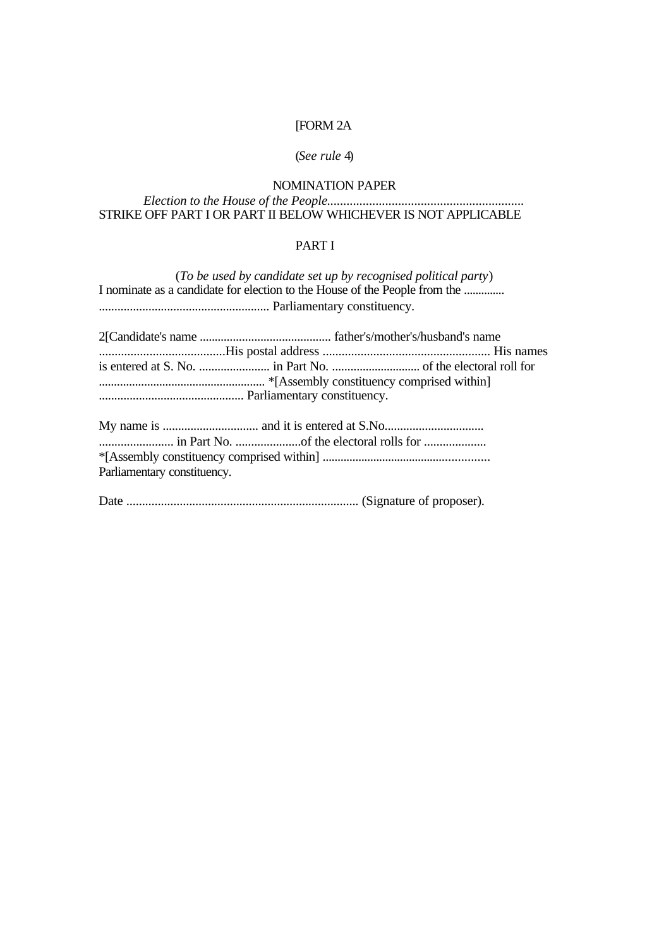# [FORM 2A

# (*See rule* 4)

# NOMINATION PAPER

#### *Election to the House of the People.............................................................* STRIKE OFF PART I OR PART II BELOW WHICHEVER IS NOT APPLICABLE

# PART I

|                                                                            | (To be used by candidate set up by recognised political party) |  |
|----------------------------------------------------------------------------|----------------------------------------------------------------|--|
| I nominate as a candidate for election to the House of the People from the |                                                                |  |
|                                                                            |                                                                |  |
|                                                                            |                                                                |  |
|                                                                            |                                                                |  |
|                                                                            |                                                                |  |
|                                                                            |                                                                |  |
|                                                                            |                                                                |  |
|                                                                            |                                                                |  |
|                                                                            |                                                                |  |
|                                                                            |                                                                |  |
| Parliamentary constituency.                                                |                                                                |  |
|                                                                            |                                                                |  |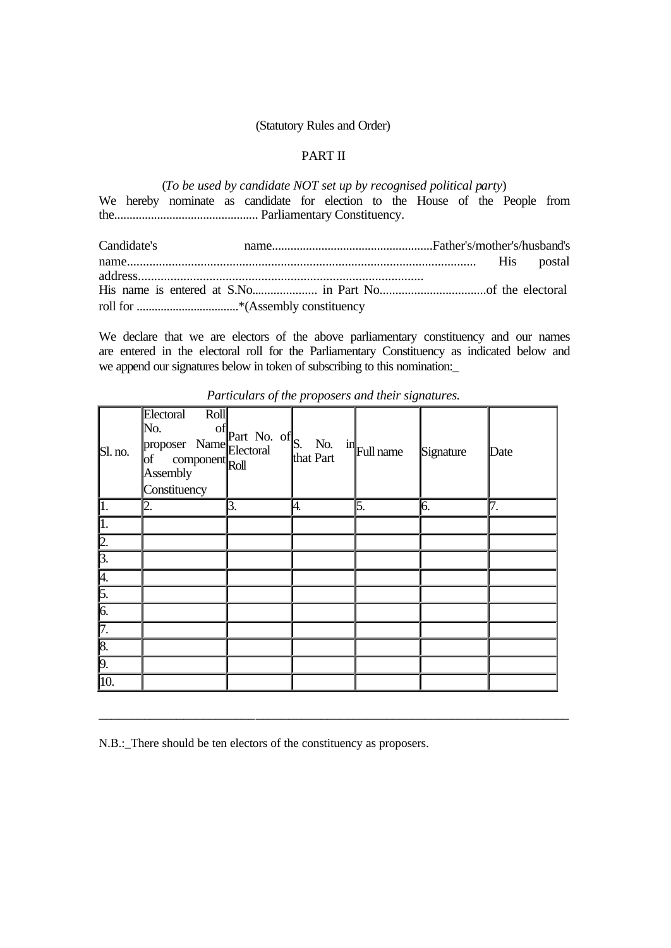#### (Statutory Rules and Order)

## PART II

(*To be used by candidate NOT set up by recognised political party*) We hereby nominate as candidate for election to the House of the People from the............................................... Parliamentary Constituency.

Candidate's name....................................................Father's/mother's/husband's name............................................................................................................. His postal address........................................................................................ His name is entered at S.No..................... in Part No..................................of the electoral roll for ..................................\*(Assembly constituency

We declare that we are electors of the above parliamentary constituency and our names are entered in the electoral roll for the Parliamentary Constituency as indicated below and we append our signatures below in token of subscribing to this nomination:

| $\mathbb{S}$ l. no. | Electoral Roll<br>No. of Part No. of S. No. in Full name<br>proposer Name Electoral (S. No. in Full name<br>of component Roll (that Part<br>Constituency |    |    |    | Signature | Date |
|---------------------|----------------------------------------------------------------------------------------------------------------------------------------------------------|----|----|----|-----------|------|
| $\parallel$ 1.      | 12.                                                                                                                                                      | 3. | 4. | 5. | 6.        | 7.   |
| $\vert$ 1.          |                                                                                                                                                          |    |    |    |           |      |
| $\sqrt{2}$ .        |                                                                                                                                                          |    |    |    |           |      |
| $\sqrt{3}$ .        |                                                                                                                                                          |    |    |    |           |      |
| $\frac{4}{5}$       |                                                                                                                                                          |    |    |    |           |      |
|                     |                                                                                                                                                          |    |    |    |           |      |
| $\sqrt{6}$ .        |                                                                                                                                                          |    |    |    |           |      |
| $\sqrt{7}$ .        |                                                                                                                                                          |    |    |    |           |      |
| $\sqrt{8}$ .        |                                                                                                                                                          |    |    |    |           |      |
| $\overline{9}$ .    |                                                                                                                                                          |    |    |    |           |      |
| $\overline{10}$     |                                                                                                                                                          |    |    |    |           |      |

\_\_\_\_\_\_\_\_\_\_\_\_\_\_\_\_\_\_\_\_\_\_\_\_\_\_\_\_\_\_\_\_\_\_\_\_\_\_\_\_\_\_\_\_\_\_\_\_\_\_\_\_\_\_\_\_\_\_\_\_\_\_\_\_\_\_\_\_\_\_\_\_

*Particulars of the proposers and their signatures.*

N.B.:\_There should be ten electors of the constituency as proposers.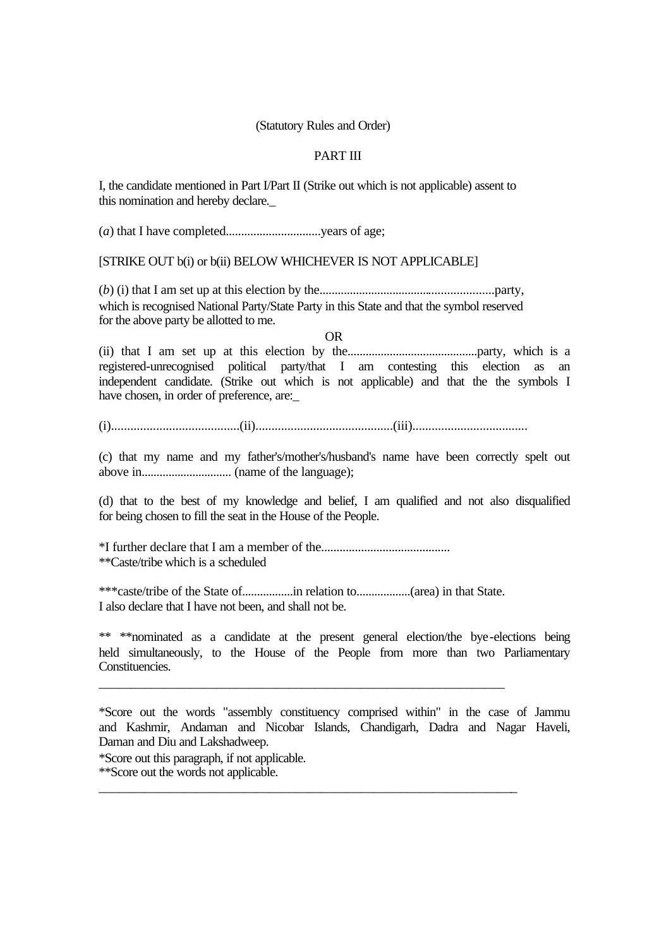#### (Statutory Rules and Order)

## PART III

I, the candidate mentioned in Part I/Part II (Strike out which is not applicable) assent to this nomination and hereby declare.\_

(*a*) that I have completed...............................years of age;

[STRIKE OUT b(i) or b(ii) BELOW WHICHEVER IS NOT APPLICABLE]

(*b*) (i) that I am set up at this election by the.........................................................party, which is recognised National Party/State Party in this State and that the symbol reserved for the above party be allotted to me.

OR

(ii) that I am set up at this election by the...........................................party, which is a registered-unrecognised political party/that I am contesting this election as an independent candidate. (Strike out which is not applicable) and that the the symbols I have chosen, in order of preference, are:

(i)........................................(ii)...........................................(iii)....................................

(c) that my name and my father's/mother's/husband's name have been correctly spelt out above in.............................. (name of the language);

(d) that to the best of my knowledge and belief, I am qualified and not also disqualified for being chosen to fill the seat in the House of the People.

\*I further declare that I am a member of the.......................................... \*\*Caste/tribe which is a scheduled

\*\*\*caste/tribe of the State of.................in relation to..................(area) in that State. I also declare that I have not been, and shall not be.

\_\_\_\_\_\_\_\_\_\_\_\_\_\_\_\_\_\_\_\_\_\_\_\_\_\_\_\_\_\_\_\_\_\_\_\_\_\_\_\_\_\_\_\_\_\_\_\_\_\_\_\_\_\_\_\_\_\_\_\_\_\_

\_\_\_\_\_\_\_\_\_\_\_\_\_\_\_\_\_\_\_\_\_\_\_\_\_\_\_\_\_\_\_\_\_\_\_\_\_\_\_\_\_\_\_\_\_\_\_\_\_\_\_\_\_\_\_\_\_\_\_\_\_\_\_\_

\*\* \*\*nominated as a candidate at the present general election/the bye-elections being held simultaneously, to the House of the People from more than two Parliamentary Constituencies.

\*Score out the words "assembly constituency comprised within" in the case of Jammu and Kashmir, Andaman and Nicobar Islands, Chandigarh, Dadra and Nagar Haveli, Daman and Diu and Lakshadweep.

\*Score out this paragraph, if not applicable.

\*\*Score out the words not applicable.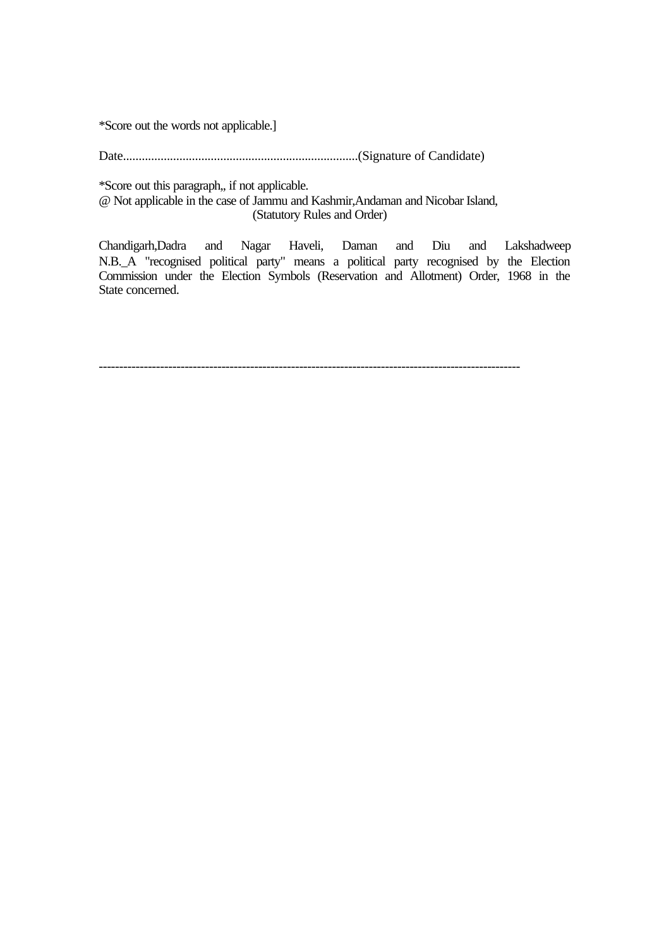\*Score out the words not applicable.]

Date...........................................................................(Signature of Candidate)

\*Score out this paragraph,, if not applicable.

@ Not applicable in the case of Jammu and Kashmir,Andaman and Nicobar Island, (Statutory Rules and Order)

Chandigarh,Dadra and Nagar Haveli, Daman and Diu and Lakshadweep N.B.\_A "recognised political party" means a political party recognised by the Election Commission under the Election Symbols (Reservation and Allotment) Order, 1968 in the State concerned.

-------------------------------------------------------------------------------------------------------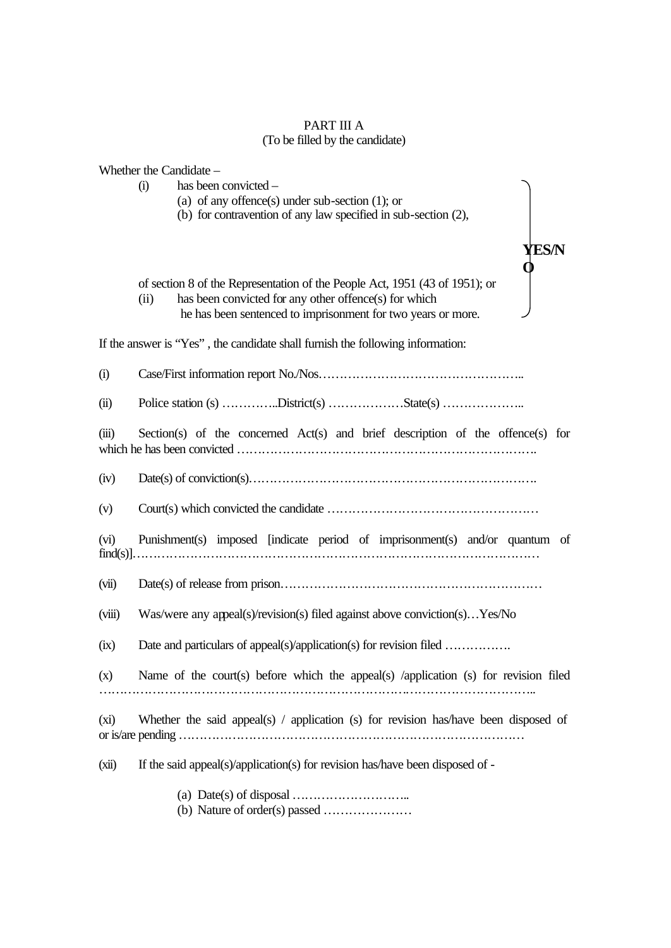#### PART III A (To be filled by the candidate)

|         | Whether the Candidate -                                                                    |
|---------|--------------------------------------------------------------------------------------------|
|         | has been convicted -<br>(i)                                                                |
|         | (a) of any offence(s) under sub-section $(1)$ ; or                                         |
|         | (b) for contravention of any law specified in sub-section (2),                             |
|         |                                                                                            |
|         | YES/N                                                                                      |
|         |                                                                                            |
|         |                                                                                            |
|         | of section 8 of the Representation of the People Act, 1951 (43 of 1951); or                |
|         | has been convicted for any other offence(s) for which<br>(ii)                              |
|         | he has been sentenced to imprisonment for two years or more.                               |
|         | If the answer is "Yes", the candidate shall furnish the following information:             |
| (i)     |                                                                                            |
|         |                                                                                            |
| (ii)    |                                                                                            |
|         |                                                                                            |
| (iii)   | Section(s) of the concerned $Act(s)$ and brief description of the offence(s) for           |
|         |                                                                                            |
|         |                                                                                            |
| (iv)    |                                                                                            |
| (v)     |                                                                                            |
|         |                                                                                            |
| (vi)    | Punishment(s) imposed [indicate period of imprisonment(s) and/or quantum of                |
|         |                                                                                            |
|         |                                                                                            |
| (vii)   |                                                                                            |
|         |                                                                                            |
| (viii)  | Was/were any appeal(s)/revision(s) filed against above conviction(s)Yes/No                 |
|         |                                                                                            |
| (ix)    | Date and particulars of appeal(s)/application(s) for revision filed                        |
|         |                                                                                            |
| (x)     | Name of the court(s) before which the appeal(s) /application (s) for revision filed        |
|         |                                                                                            |
|         |                                                                                            |
| $(x_i)$ | Whether the said appeal(s) $\prime$ application (s) for revision has/have been disposed of |
|         |                                                                                            |
|         |                                                                                            |
| (xii)   | If the said appeal(s)/application(s) for revision has/have been disposed of -              |
|         |                                                                                            |
|         |                                                                                            |
|         |                                                                                            |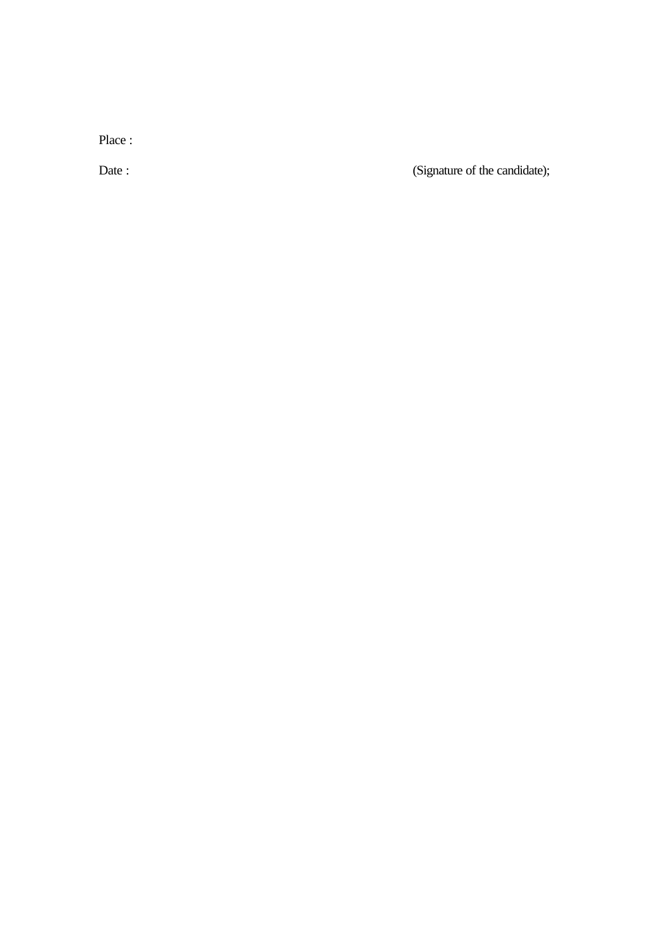Place :

Date : (Signature of the candidate);